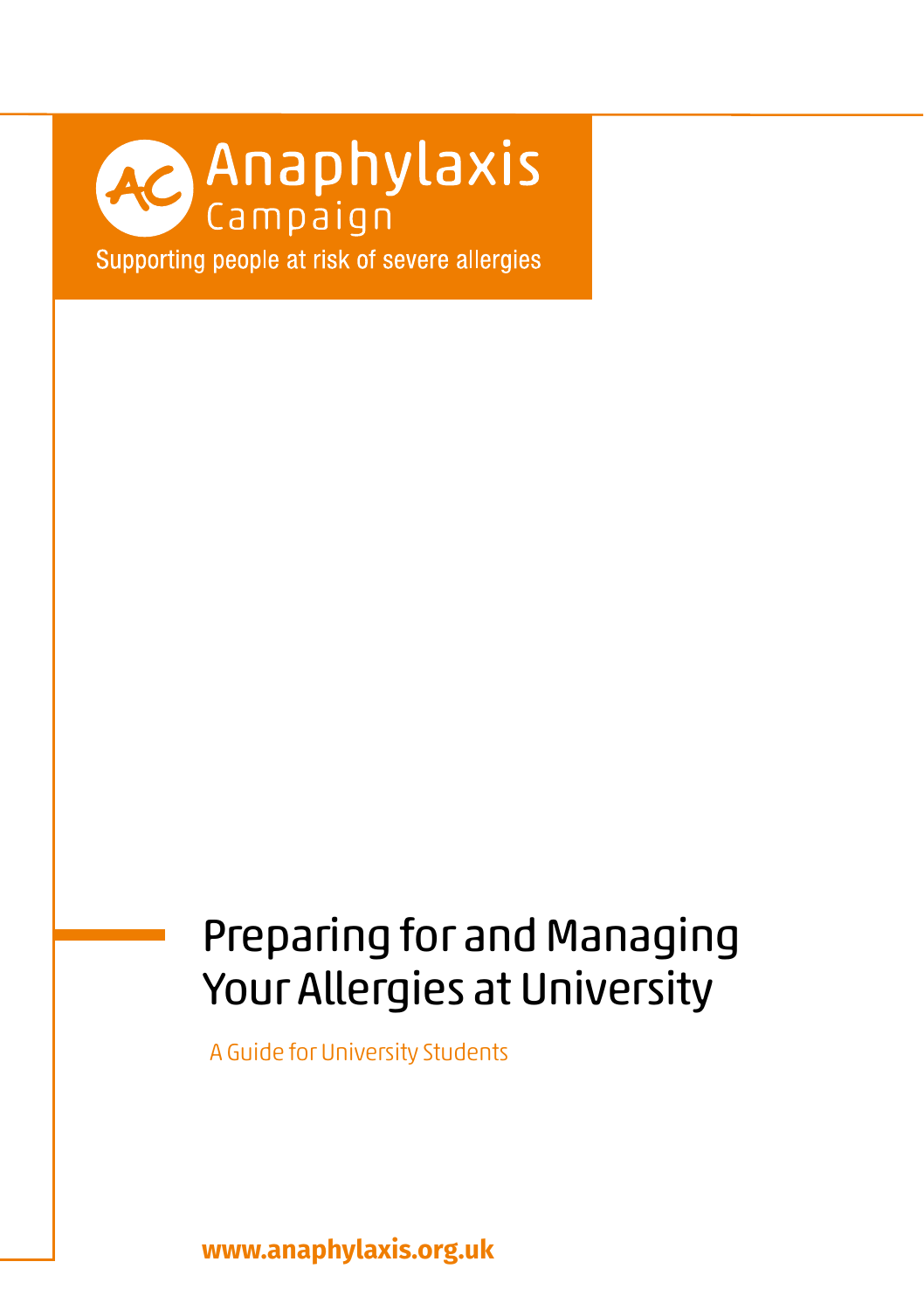# **AC Anaphylaxis**

Supporting people at risk of severe allergies

### Preparing for and Managing Your Allergies at University

A Guide for University Students

**www.anaphylaxis.org.uk**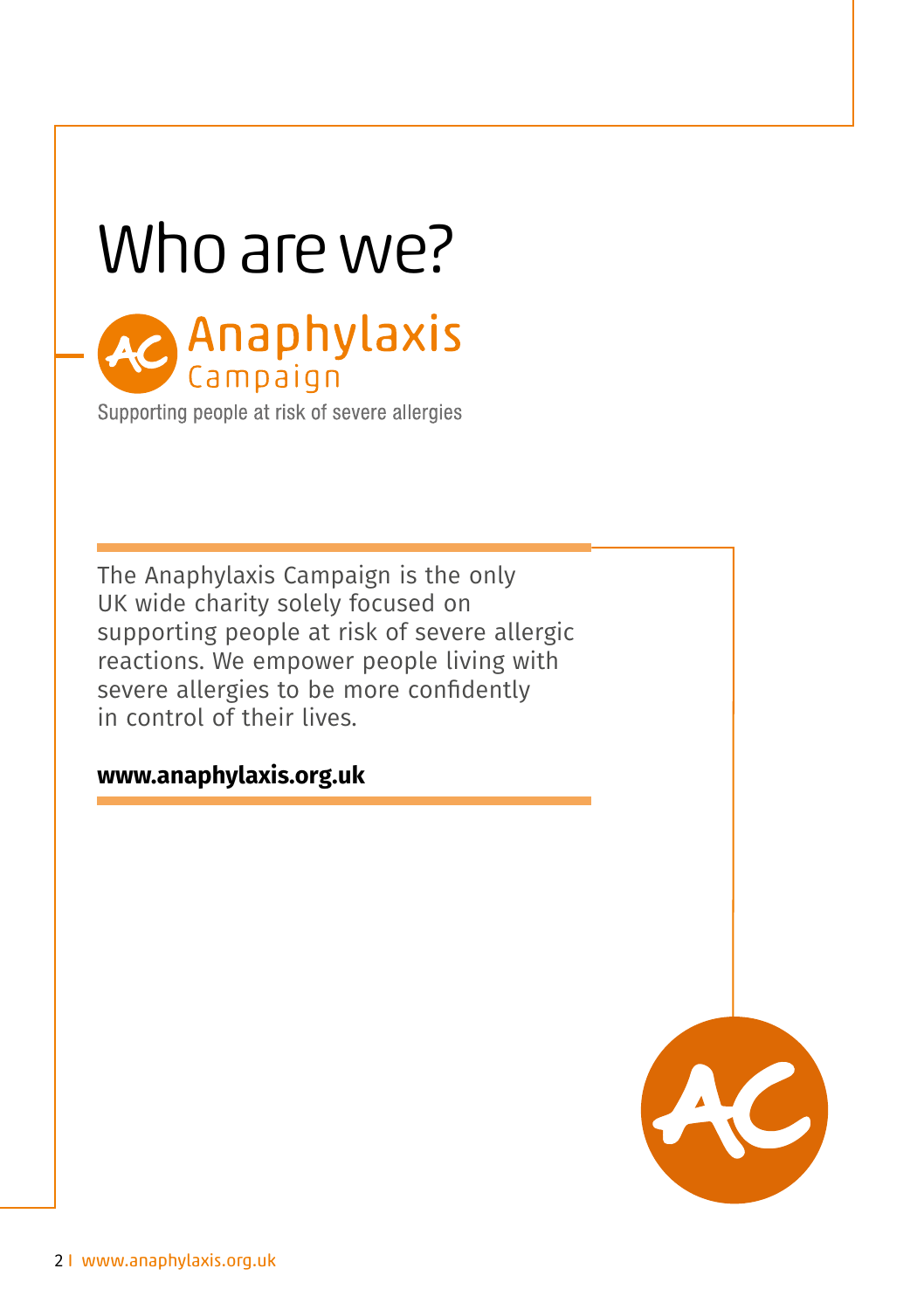### Who are we?



Supporting people at risk of severe allergies

The Anaphylaxis Campaign is the only UK wide charity solely focused on supporting people at risk of severe allergic reactions. We empower people living with severe allergies to be more confidently in control of their lives.

#### **www.anaphylaxis.org.uk**

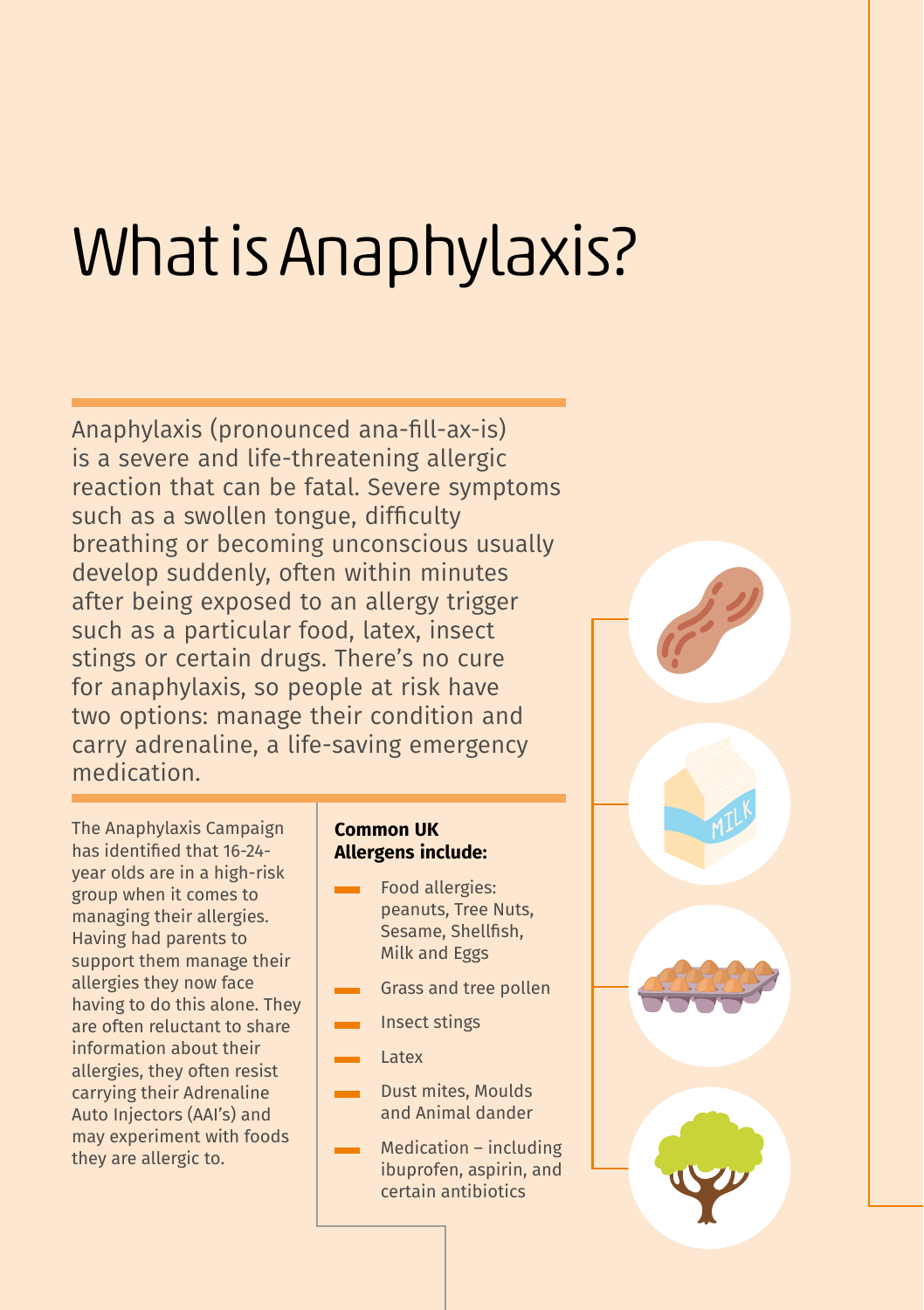# What is Anaphylaxis?

Anaphylaxis (pronounced ana-fill-ax-is) is a severe and life-threatening allergic reaction that can be fatal. Severe symptoms such as a swollen tongue, difficulty breathing or becoming unconscious usually develop suddenly, often within minutes after being exposed to an allergy trigger such as a particular food, latex, insect stings or certain drugs. There's no cure for anaphylaxis, so people at risk have two options: manage their condition and carry adrenaline, a life-saving emergency medication.

The Anaphylaxis Campaign has identified that 16-24 year olds are in a high-risk group when it comes to managing their allergies. Having had parents to support them manage their allergies they now face having to do this alone. They are often reluctant to share information about their allergies, they often resist carrying their Adrenaline Auto Injectors (AAI's) and may experiment with foods they are allergic to.

#### **Common UK Allergens include:**

- Food allergies: peanuts, Tree Nuts, Sesame, Shellfish, Milk and Eggs
- Grass and tree pollen
- Insect stings
- Latex
- Dust mites, Moulds and Animal dander
- Medication including ibuprofen, aspirin, and certain antibiotics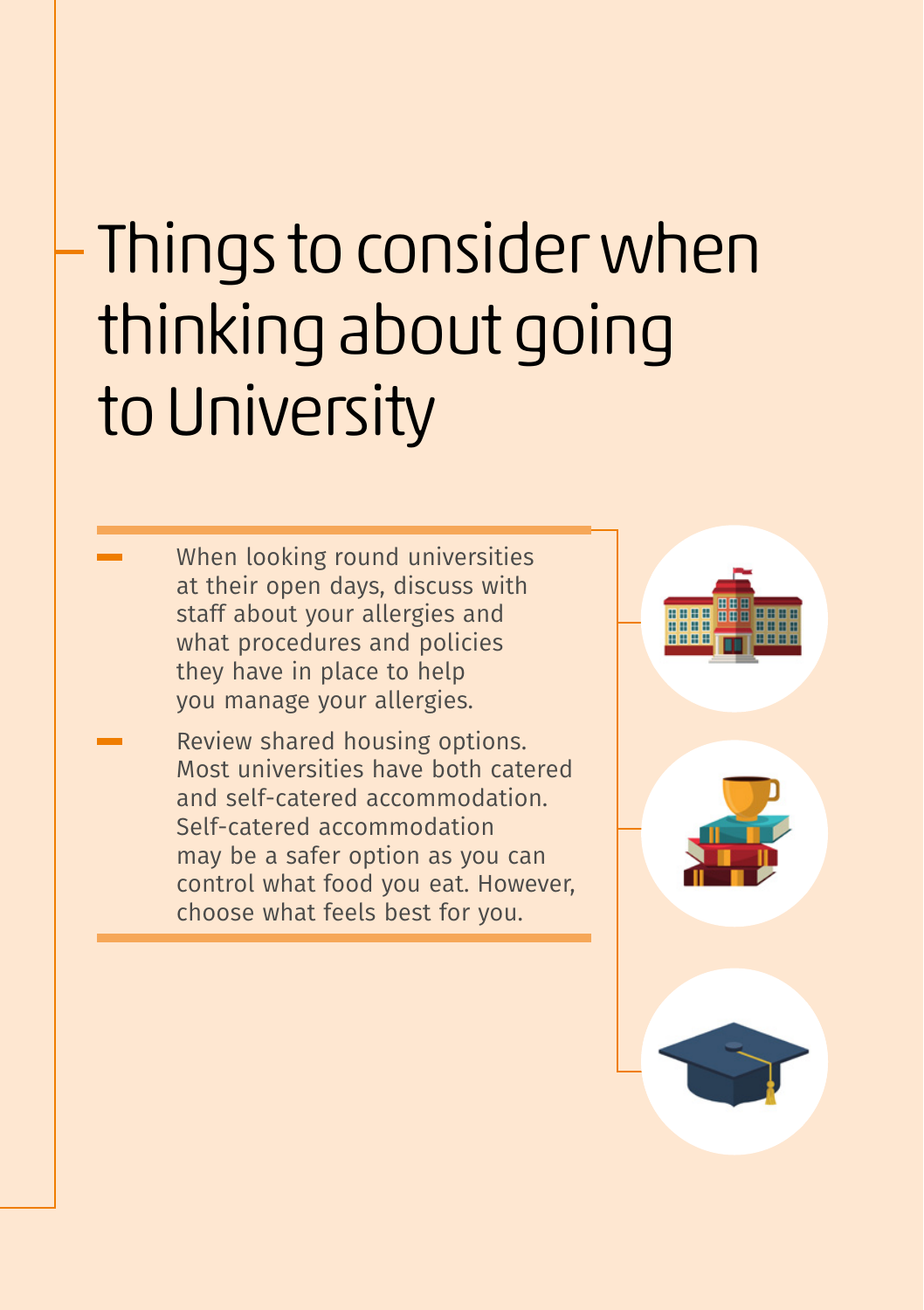# Things to consider when thinking about going to University

- When looking round universities at their open days, discuss with staff about your allergies and what procedures and policies they have in place to help you manage your allergies.
- Review shared housing options. Most universities have both catered and self-catered accommodation. Self-catered accommodation may be a safer option as you can control what food you eat. However, choose what feels best for you.

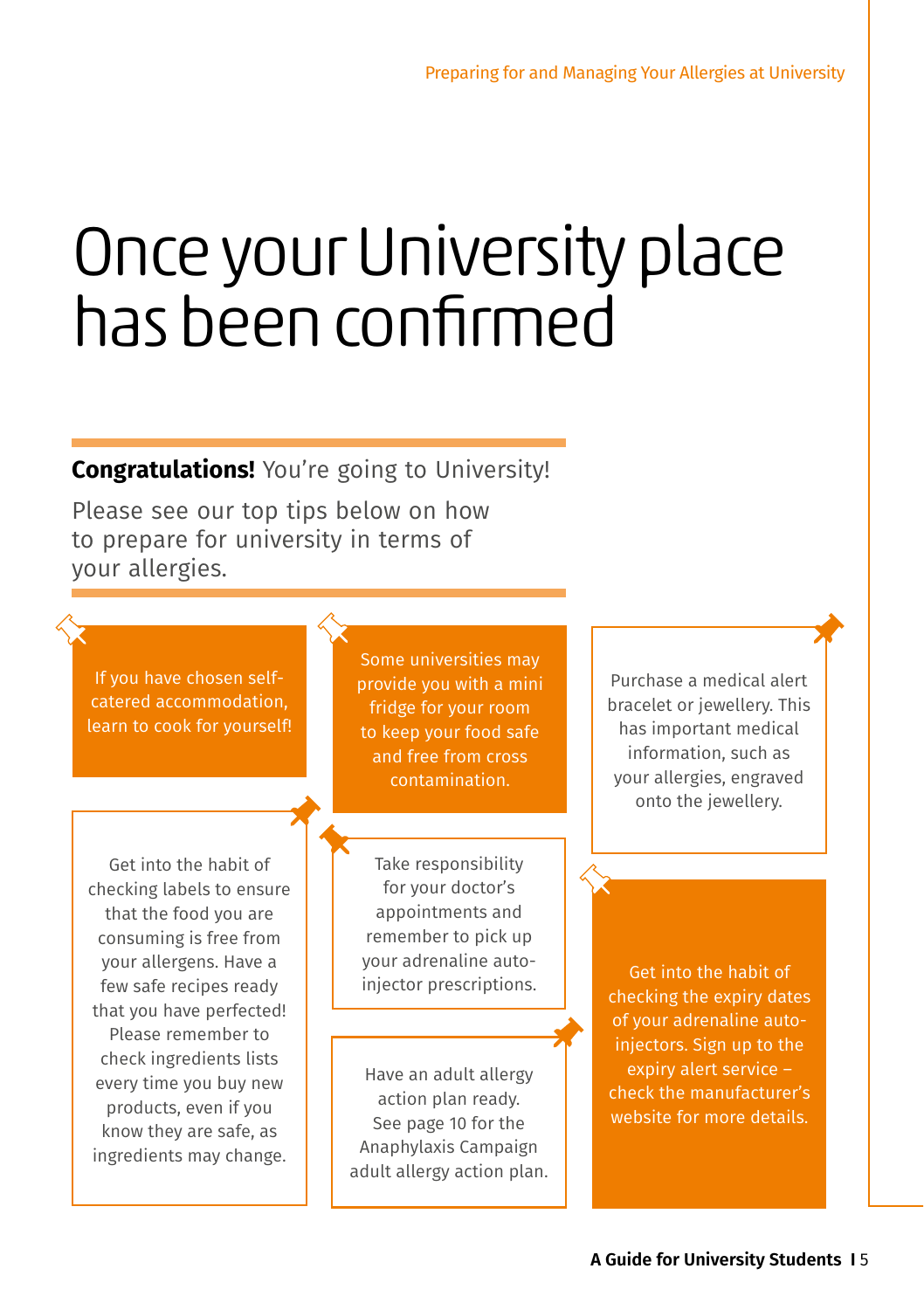## Once your University place has been confirmed

**Congratulations!** You're going to University!

Please see our top tips below on how to prepare for university in terms of your allergies.

If you have chosen selfcatered accommodation, learn to cook for yourself!

Some universities may provide you with a mini fridge for your room to keep your food safe and free from cross contamination.

Get into the habit of checking labels to ensure that the food you are consuming is free from your allergens. Have a few safe recipes ready that you have perfected! Please remember to check ingredients lists every time you buy new products, even if you know they are safe, as ingredients may change.

Take responsibility for your doctor's appointments and remember to pick up your adrenaline auto-

Have an adult allergy action plan ready. See page 10 for the Anaphylaxis Campaign adult allergy action plan.

Purchase a medical alert bracelet or jewellery. This has important medical information, such as your allergies, engraved onto the jewellery.

injector prescriptions. checking the expiry dates of your adrenaline autoinjectors. Sign up to the expiry alert service – check the manufacturer's website for more details.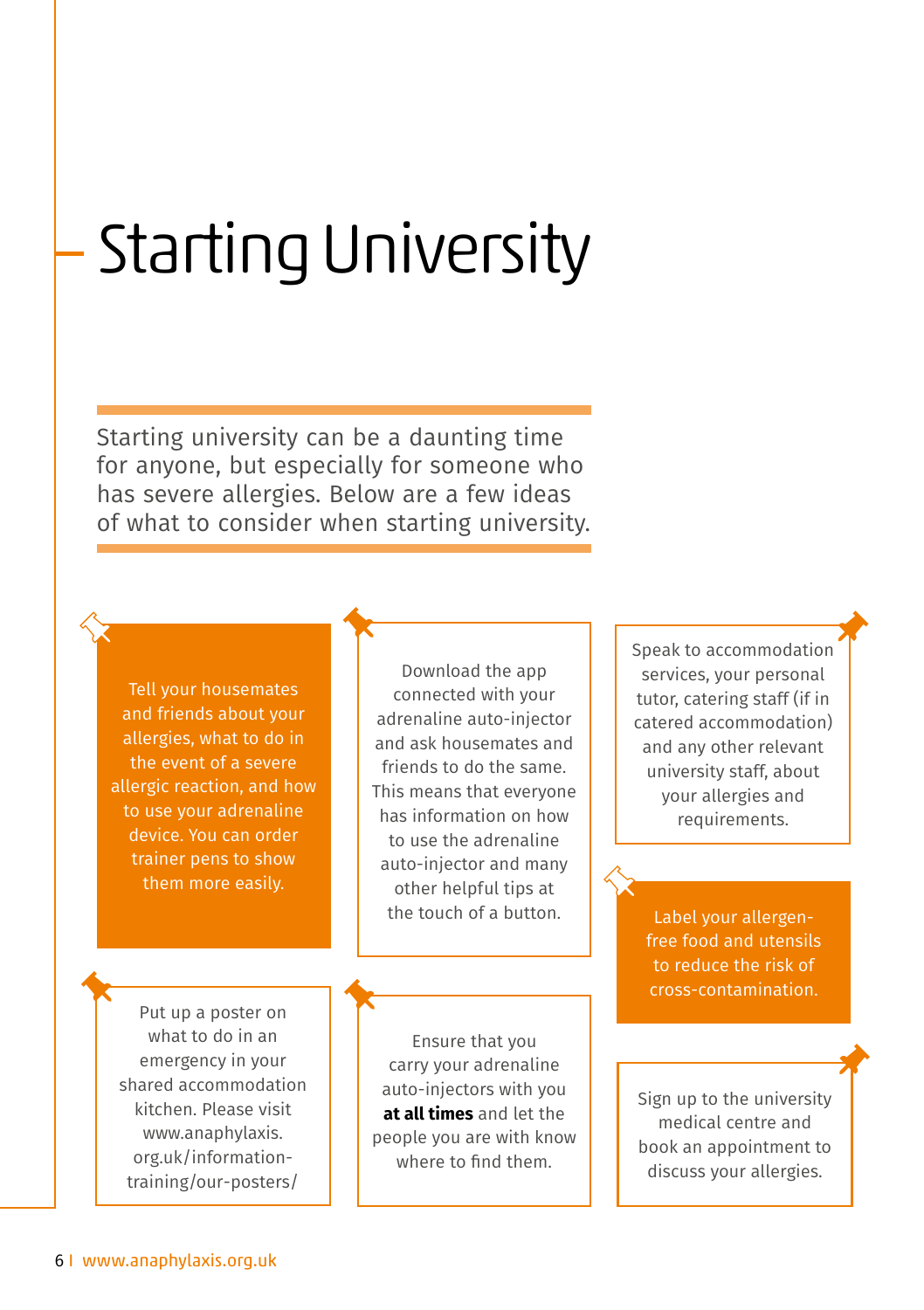# Starting University

Starting university can be a daunting time for anyone, but especially for someone who has severe allergies. Below are a few ideas of what to consider when starting university.

Tell your housemates and friends about your allergies, what to do in the event of a severe allergic reaction, and how to use your adrenaline device. You can order trainer pens to show them more easily.

Download the app connected with your adrenaline auto-injector and ask housemates and friends to do the same. This means that everyone has information on how to use the adrenaline auto-injector and many other helpful tips at the touch of a button.

Put up a poster on what to do in an emergency in your shared accommodation kitchen. Please visit www.anaphylaxis. org.uk/informationtraining/our-posters/

Ensure that you carry your adrenaline auto-injectors with you **at all times** and let the people you are with know where to find them.

Speak to accommodation services, your personal tutor, catering staff (if in catered accommodation) and any other relevant university staff, about your allergies and requirements.

Label your allergenfree food and utensils to reduce the risk of cross-contamination.

Sign up to the university medical centre and book an appointment to discuss your allergies.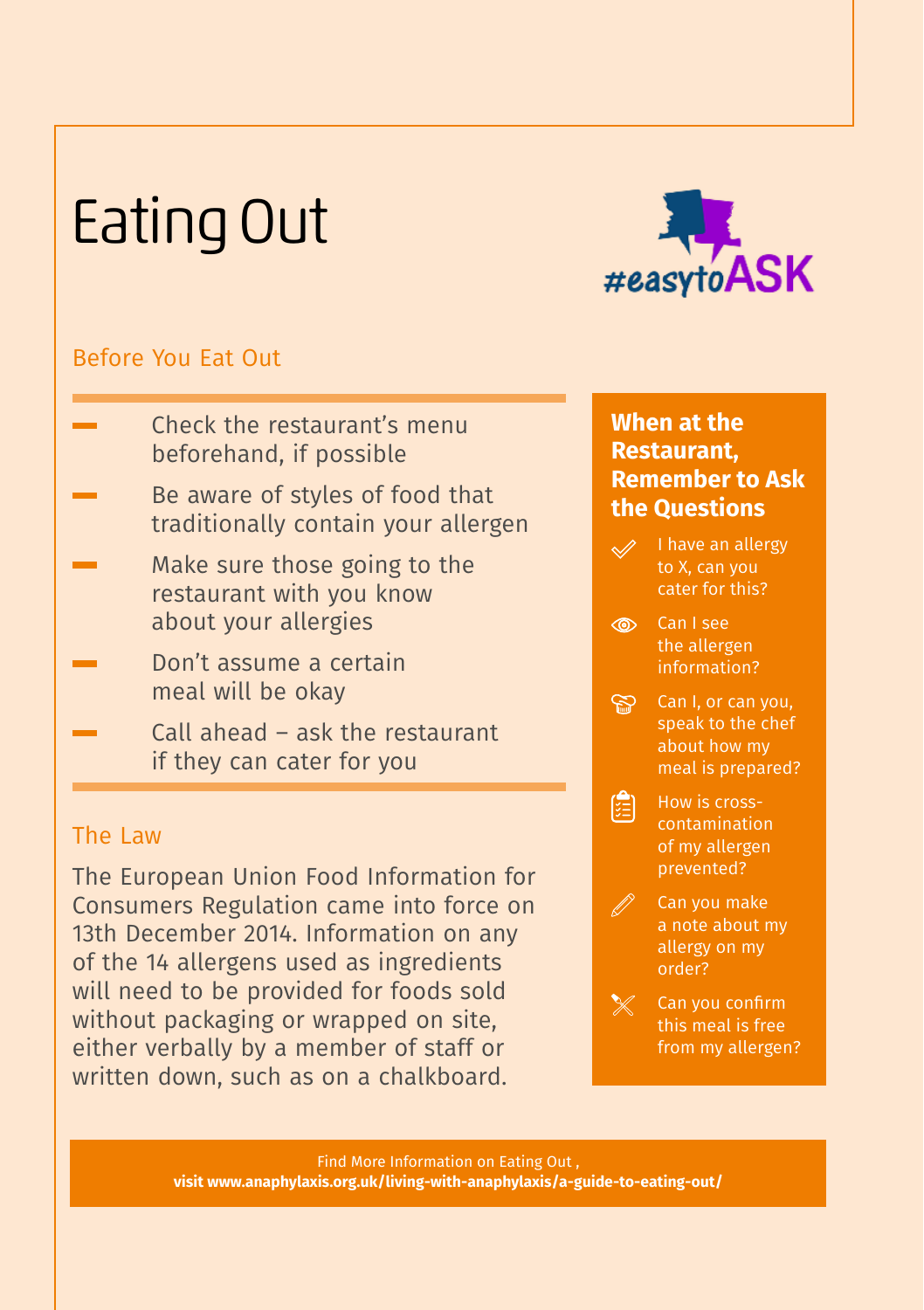## Eating Out



#### Before You Eat Out

- Check the restaurant's menu beforehand, if possible
- Be aware of styles of food that traditionally contain your allergen
- Make sure those going to the restaurant with you know about your allergies
- Don't assume a certain meal will be okay
- Call ahead ask the restaurant if they can cater for you

#### The Law

The European Union Food Information for Consumers Regulation came into force on 13th December 2014. Information on any of the 14 allergens used as ingredients will need to be provided for foods sold without packaging or wrapped on site, either verbally by a member of staff or written down, such as on a chalkboard.

#### **When at the Restaurant, Remember to Ask the Questions**

- I have an allergy to X, can you cater for this?
- Can I see the allergen information?
- Can I, or can you, speak to the chef about how my meal is prepared?
- 
- $\left[\begin{matrix} 1 \\ 2 \end{matrix}\right]$  How is crosscontamination of my allergen prevented?
	- Can you make a note about my allergy on my order?

 $\mathbb X$  Can you confirm this meal is free from my allergen?

Find More Information on Eating Out , **visit www.anaphylaxis.org.uk/living-with-anaphylaxis/a-guide-to-eating-out/**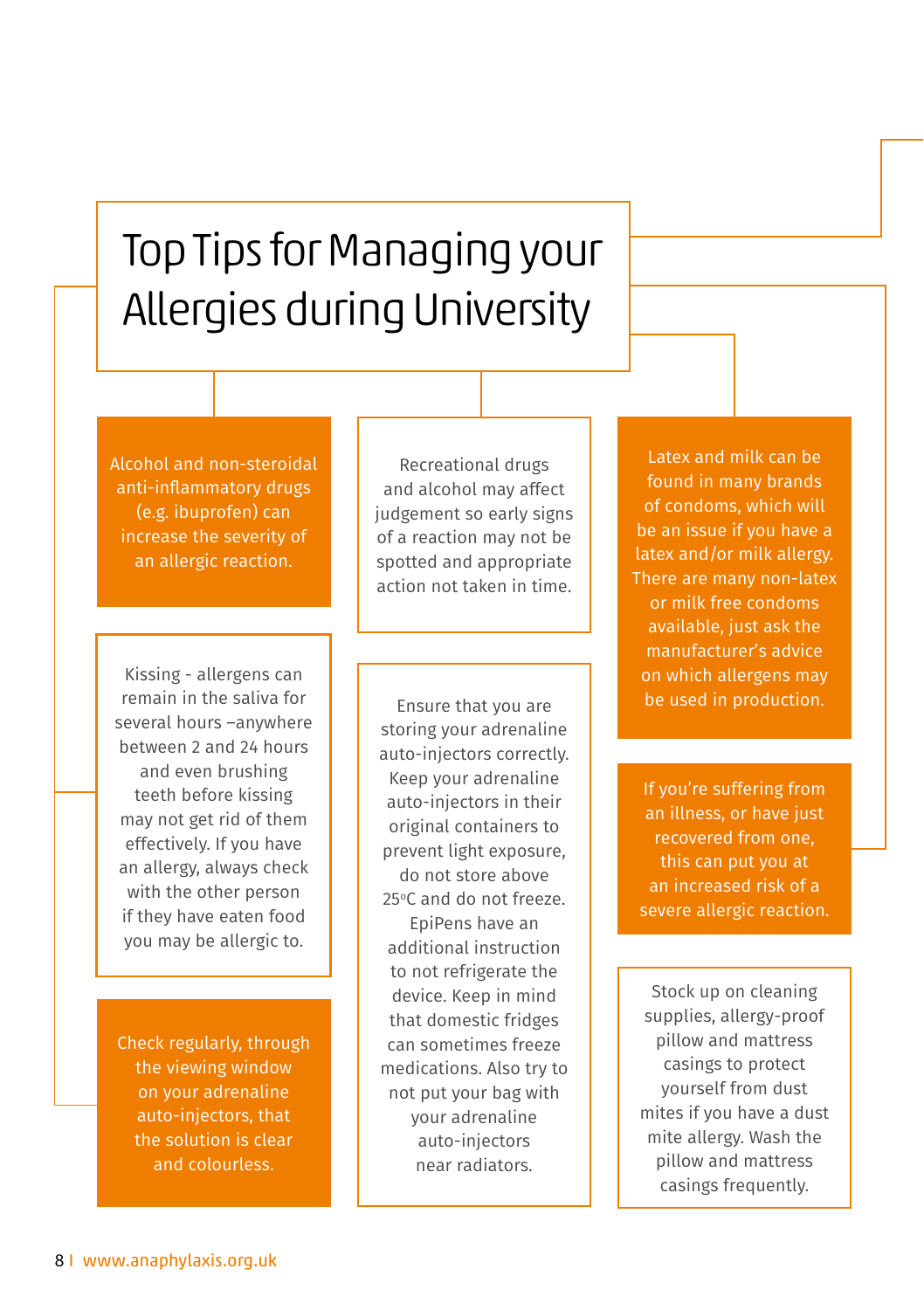### Top Tips for Managing your Allergies during University

Alcohol and non-steroidal anti-inflammatory drugs (e.g. ibuprofen) can increase the severity of an allergic reaction.

Kissing - allergens can remain in the saliva for several hours –anywhere between 2 and 24 hours and even brushing teeth before kissing may not get rid of them effectively. If you have an allergy, always check with the other person if they have eaten food you may be allergic to.

Check regularly, through the viewing window on your adrenaline auto-injectors, that the solution is clear and colourless.

Recreational drugs and alcohol may affect judgement so early signs of a reaction may not be spotted and appropriate action not taken in time.

Ensure that you are storing your adrenaline auto-injectors correctly. Keep your adrenaline auto-injectors in their original containers to prevent light exposure, do not store above 25°C and do not freeze. EpiPens have an additional instruction to not refrigerate the device. Keep in mind that domestic fridges can sometimes freeze medications. Also try to not put your bag with your adrenaline auto-injectors near radiators.

Latex and milk can be found in many brands of condoms, which will be an issue if you have a latex and/or milk allergy. There are many non-latex or milk free condoms available, just ask the manufacturer's advice on which allergens may be used in production.

If you're suffering from an illness, or have just recovered from one, this can put you at an increased risk of a severe allergic reaction.

Stock up on cleaning supplies, allergy-proof pillow and mattress casings to protect yourself from dust mites if you have a dust mite allergy. Wash the pillow and mattress casings frequently.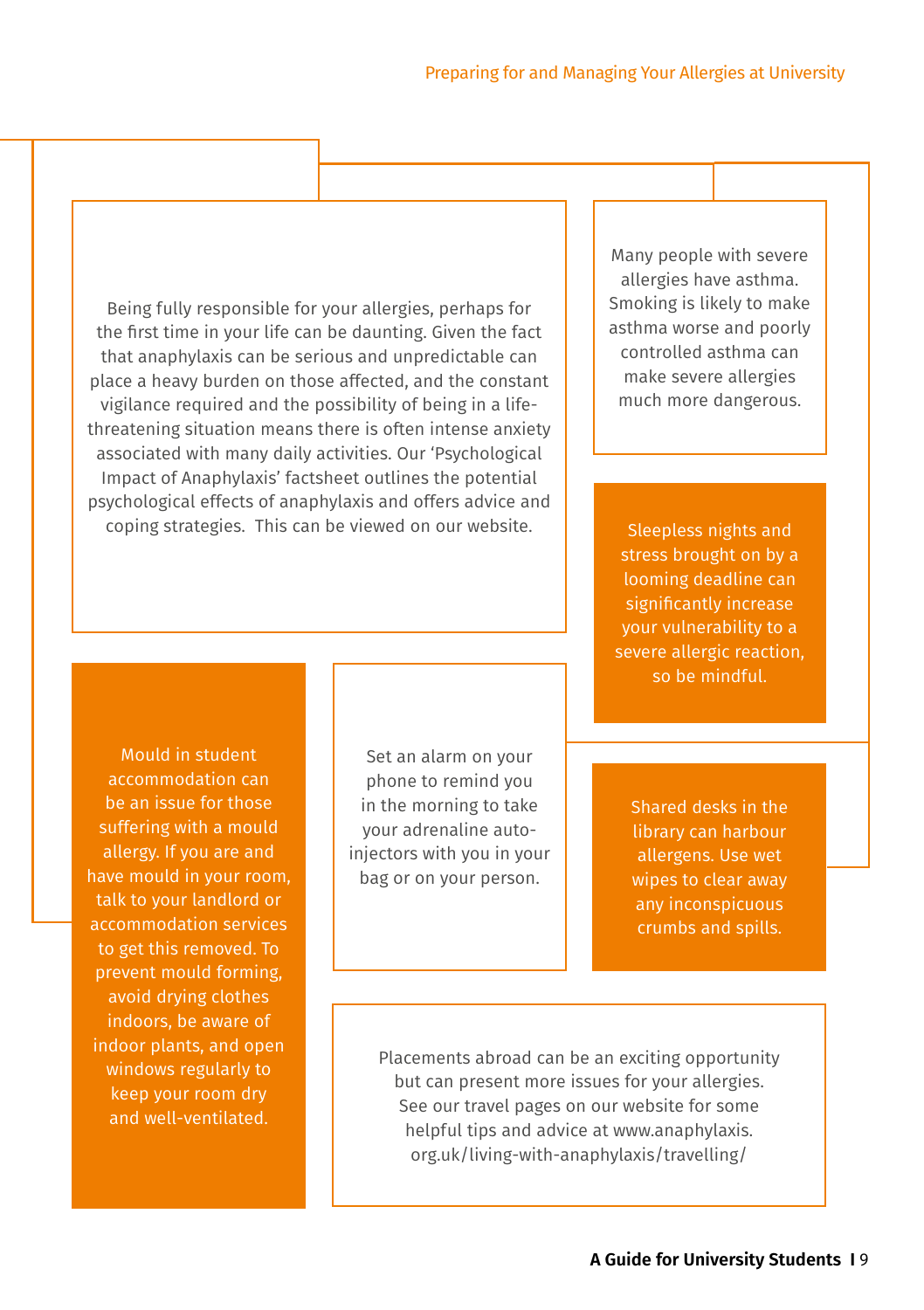Being fully responsible for your allergies, perhaps for the first time in your life can be daunting. Given the fact that anaphylaxis can be serious and unpredictable can place a heavy burden on those affected, and the constant vigilance required and the possibility of being in a lifethreatening situation means there is often intense anxiety associated with many daily activities. Our 'Psychological Impact of Anaphylaxis' factsheet outlines the potential psychological effects of anaphylaxis and offers advice and coping strategies. This can be viewed on our website.

Many people with severe allergies have asthma. Smoking is likely to make asthma worse and poorly controlled asthma can make severe allergies much more dangerous.

Sleepless nights and stress brought on by a looming deadline can significantly increase your vulnerability to a severe allergic reaction, so be mindful.

Mould in student accommodation can be an issue for those suffering with a mould allergy. If you are and have mould in your room, talk to your landlord or accommodation services to get this removed. To prevent mould forming, avoid drying clothes indoors, be aware of indoor plants, and open windows regularly to keep your room dry and well-ventilated.

Set an alarm on your phone to remind you in the morning to take your adrenaline autoinjectors with you in your bag or on your person.

Shared desks in the library can harbour allergens. Use wet wipes to clear away any inconspicuous crumbs and spills.

Placements abroad can be an exciting opportunity but can present more issues for your allergies. See our travel pages on our website for some helpful tips and advice at www.anaphylaxis. org.uk/living-with-anaphylaxis/travelling/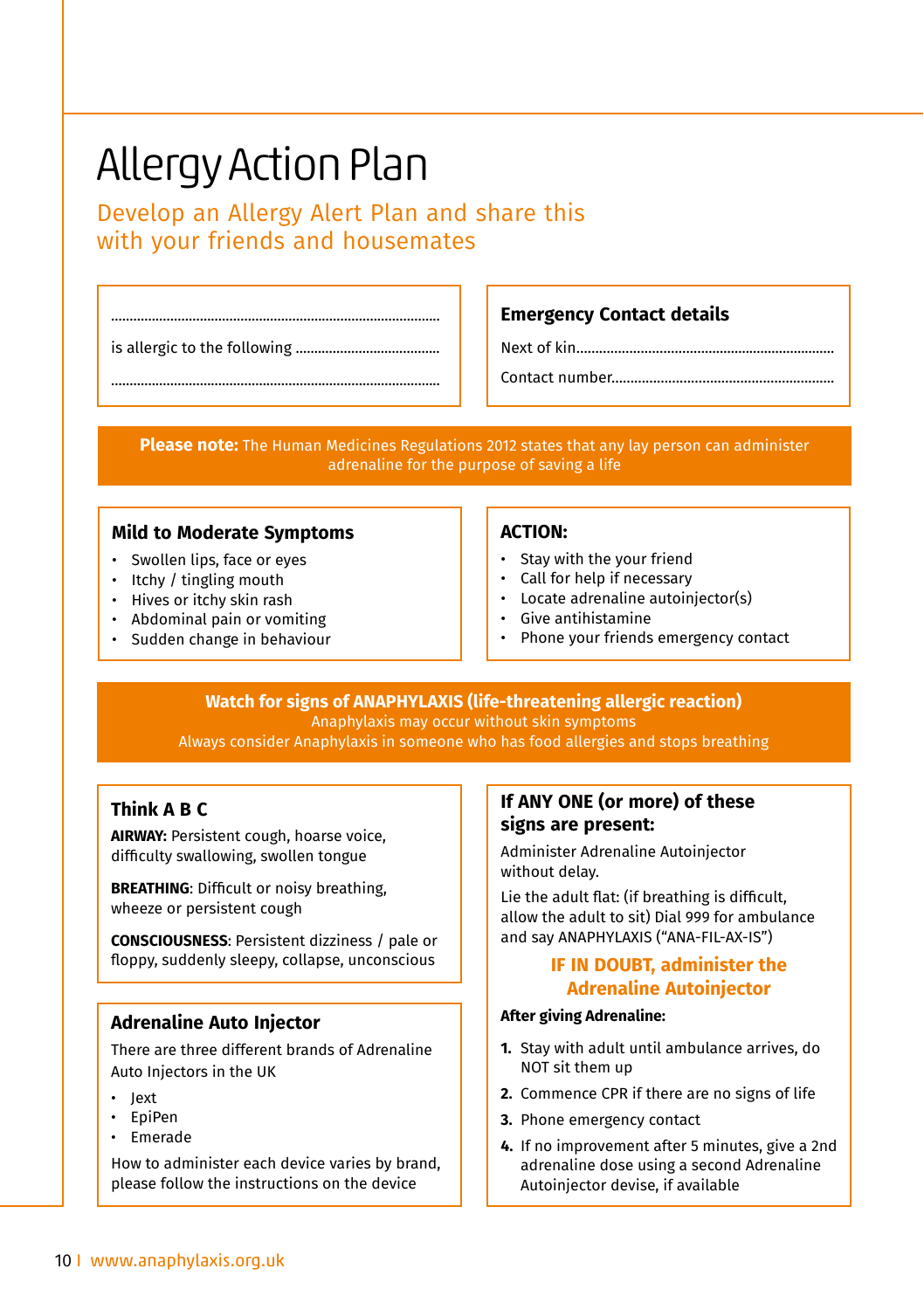### Allergy Action Plan

Develop an Allergy Alert Plan and share this with your friends and housemates

......................................................................................... is allergic to the following .......................................

#### **Emergency Contact details**

Next of kin………………………….…...................................

Contact number

**Please note:** The Human Medicines Regulations 2012 states that any lay person can administer adrenaline for the purpose of saving a life

#### **Mild to Moderate Symptoms**

- Swollen lips, face or eyes
- Itchy / tingling mouth
- Hives or itchy skin rash
- Abdominal pain or vomiting
- Sudden change in behaviour

#### **ACTION:**

- Stay with the your friend
- Call for help if necessary
- Locate adrenaline autoinjector(s)
- Give antihistamine
- Phone your friends emergency contact

#### **Watch for signs of ANAPHYLAXIS (life-threatening allergic reaction)**

Anaphylaxis may occur without skin symptoms Always consider Anaphylaxis in someone who has food allergies and stops breathing

#### **Think A B C**

**AIRWAY:** Persistent cough, hoarse voice, difficulty swallowing, swollen tongue

**BREATHING**: Difficult or noisy breathing, wheeze or persistent cough

**CONSCIOUSNESS**: Persistent dizziness / pale or floppy, suddenly sleepy, collapse, unconscious

#### **Adrenaline Auto Injector**

There are three different brands of Adrenaline Auto Injectors in the UK

- Jext
- EpiPen
- Emerade

How to administer each device varies by brand, please follow the instructions on the device

#### **If ANY ONE (or more) of these signs are present:**

Administer Adrenaline Autoinjector without delay.

Lie the adult flat: (if breathing is difficult, allow the adult to sit) Dial 999 for ambulance and say ANAPHYLAXIS ("ANA-FIL-AX-IS")

#### **IF IN DOUBT, administer the Adrenaline Autoinjector**

#### **After giving Adrenaline:**

- **1.** Stay with adult until ambulance arrives, do NOT sit them up
- **2.** Commence CPR if there are no signs of life
- **3.** Phone emergency contact
- **4.** If no improvement after 5 minutes, give a 2nd adrenaline dose using a second Adrenaline Autoinjector devise, if available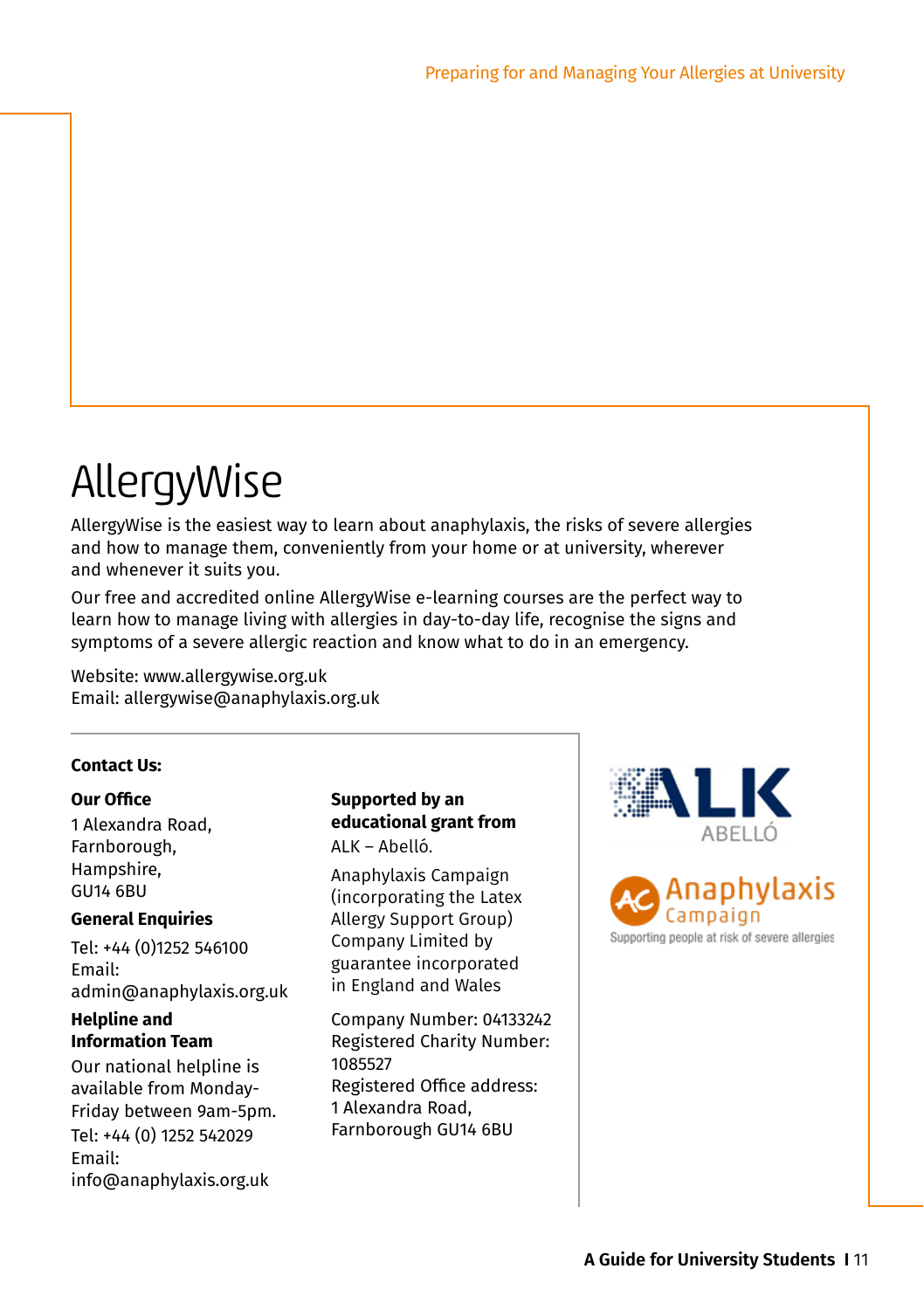### AllergyWise

AllergyWise is the easiest way to learn about anaphylaxis, the risks of severe allergies and how to manage them, conveniently from your home or at university, wherever and whenever it suits you.

Our free and accredited online AllergyWise e-learning courses are the perfect way to learn how to manage living with allergies in day-to-day life, recognise the signs and symptoms of a severe allergic reaction and know what to do in an emergency.

Website: www.allergywise.org.uk Email: allergywise@anaphylaxis.org.uk

#### **Contact Us:**

#### **Our Office**

1 Alexandra Road, Farnborough, Hampshire, GU14 6BU

#### **General Enquiries**

Tel: +44 (0)1252 546100 Email: admin@anaphylaxis.org.uk

#### **Helpline and Information Team**

Our national helpline is available from Monday-Friday between 9am-5pm. Tel: +44 (0) 1252 542029 Email: info@anaphylaxis.org.uk

#### **Supported by an educational grant from**

ALK – Abelló.

Anaphylaxis Campaign (incorporating the Latex Allergy Support Group) Company Limited by guarantee incorporated in England and Wales

Company Number: 04133242 Registered Charity Number: 1085527 Registered Office address: 1 Alexandra Road, Farnborough GU14 6BU